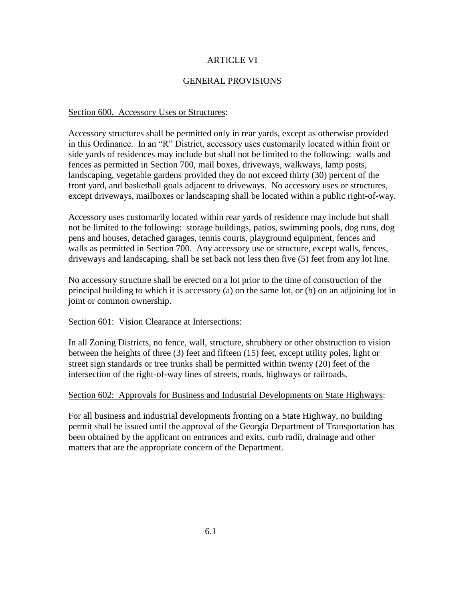# ARTICLE VI

# GENERAL PROVISIONS

#### Section 600. Accessory Uses or Structures:

Accessory structures shall be permitted only in rear yards, except as otherwise provided in this Ordinance. In an "R" District, accessory uses customarily located within front or side yards of residences may include but shall not be limited to the following: walls and fences as permitted in Section 700, mail boxes, driveways, walkways, lamp posts, landscaping, vegetable gardens provided they do not exceed thirty (30) percent of the front yard, and basketball goals adjacent to driveways. No accessory uses or structures, except driveways, mailboxes or landscaping shall be located within a public right-of-way.

Accessory uses customarily located within rear yards of residence may include but shall not be limited to the following: storage buildings, patios, swimming pools, dog runs, dog pens and houses, detached garages, tennis courts, playground equipment, fences and walls as permitted in Section 700. Any accessory use or structure, except walls, fences, driveways and landscaping, shall be set back not less then five (5) feet from any lot line.

No accessory structure shall be erected on a lot prior to the time of construction of the principal building to which it is accessory (a) on the same lot, or (b) on an adjoining lot in joint or common ownership.

#### Section 601: Vision Clearance at Intersections:

In all Zoning Districts, no fence, wall, structure, shrubbery or other obstruction to vision between the heights of three (3) feet and fifteen (15) feet, except utility poles, light or street sign standards or tree trunks shall be permitted within twenty (20) feet of the intersection of the right-of-way lines of streets, roads, highways or railroads.

#### Section 602: Approvals for Business and Industrial Developments on State Highways:

For all business and industrial developments fronting on a State Highway, no building permit shall be issued until the approval of the Georgia Department of Transportation has been obtained by the applicant on entrances and exits, curb radii, drainage and other matters that are the appropriate concern of the Department.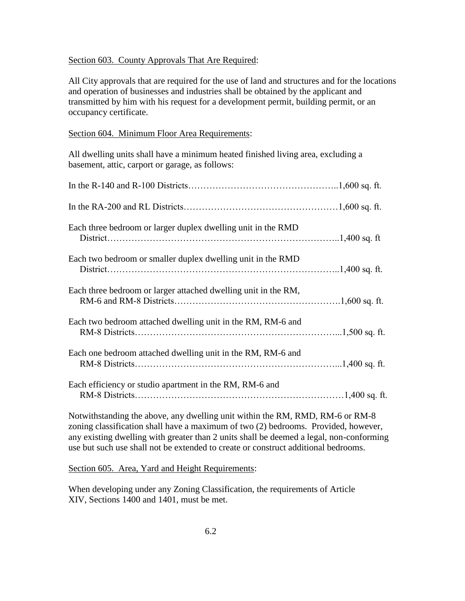### Section 603. County Approvals That Are Required:

All City approvals that are required for the use of land and structures and for the locations and operation of businesses and industries shall be obtained by the applicant and transmitted by him with his request for a development permit, building permit, or an occupancy certificate.

### Section 604. Minimum Floor Area Requirements:

All dwelling units shall have a minimum heated finished living area, excluding a basement, attic, carport or garage, as follows:

| Each three bedroom or larger duplex dwelling unit in the RMD                        |
|-------------------------------------------------------------------------------------|
| Each two bedroom or smaller duplex dwelling unit in the RMD                         |
| Each three bedroom or larger attached dwelling unit in the RM,                      |
| Each two bedroom attached dwelling unit in the RM, RM-6 and                         |
| Each one bedroom attached dwelling unit in the RM, RM-6 and                         |
| Each efficiency or studio apartment in the RM, RM-6 and                             |
| Notwitheranding the above any dwelling unit within the $DM$ $DMR$ $GM$ $6$ or $DMR$ |

Notwithstanding the above, any dwelling unit within the RM, RMD, RM-6 or RM-8 zoning classification shall have a maximum of two (2) bedrooms. Provided, however, any existing dwelling with greater than 2 units shall be deemed a legal, non-conforming use but such use shall not be extended to create or construct additional bedrooms.

Section 605. Area, Yard and Height Requirements:

When developing under any Zoning Classification, the requirements of Article XIV, Sections 1400 and 1401, must be met.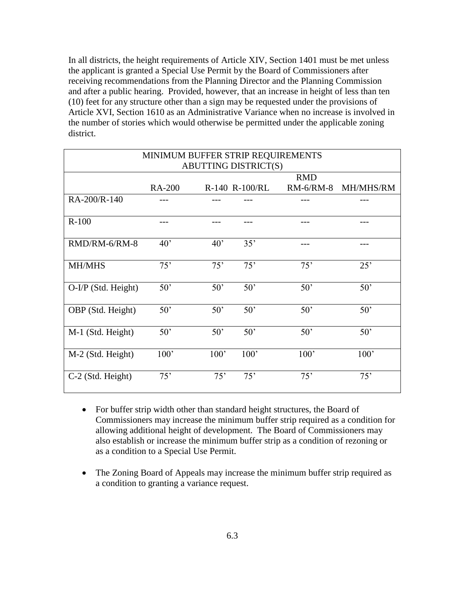In all districts, the height requirements of Article XIV, Section 1401 must be met unless the applicant is granted a Special Use Permit by the Board of Commissioners after receiving recommendations from the Planning Director and the Planning Commission and after a public hearing. Provided, however, that an increase in height of less than ten (10) feet for any structure other than a sign may be requested under the provisions of Article XVI, Section 1610 as an Administrative Variance when no increase is involved in the number of stories which would otherwise be permitted under the applicable zoning district.

| MINIMUM BUFFER STRIP REQUIREMENTS |               |              |                |              |           |  |
|-----------------------------------|---------------|--------------|----------------|--------------|-----------|--|
| <b>ABUTTING DISTRICT(S)</b>       |               |              |                |              |           |  |
|                                   |               |              |                | <b>RMD</b>   |           |  |
|                                   | <b>RA-200</b> |              | R-140 R-100/RL | RM-6/RM-8    | MH/MHS/RM |  |
| RA-200/R-140                      |               |              |                |              |           |  |
| $R-100$                           |               |              |                |              |           |  |
| RMD/RM-6/RM-8                     | $40^{\circ}$  | $40^{\circ}$ | 35'            |              |           |  |
| <b>MH/MHS</b>                     | 75'           | 75'          | 75'            | 75'          | 25'       |  |
| O-I/P (Std. Height)               | 50'           | $50^{\circ}$ | 50'            | 50'          | 50'       |  |
| OBP (Std. Height)                 | 50'           | $50^{\circ}$ | 50'            | 50'          | 50'       |  |
| M-1 (Std. Height)                 | 50'           | $50^{\circ}$ | $50^{\circ}$   | $50^{\circ}$ | 50'       |  |
| M-2 (Std. Height)                 | 100'          | 100'         | 100'           | 100'         | 100'      |  |
| C-2 (Std. Height)                 | 75'           | 75'          | 75'            | 75'          | 75'       |  |

- For buffer strip width other than standard height structures, the Board of Commissioners may increase the minimum buffer strip required as a condition for allowing additional height of development. The Board of Commissioners may also establish or increase the minimum buffer strip as a condition of rezoning or as a condition to a Special Use Permit.
- The Zoning Board of Appeals may increase the minimum buffer strip required as a condition to granting a variance request.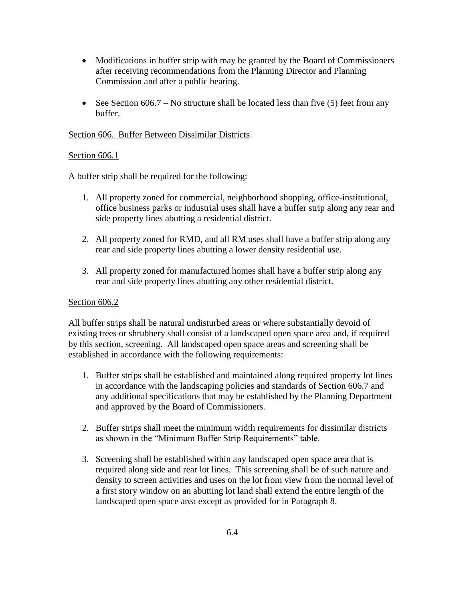- Modifications in buffer strip with may be granted by the Board of Commissioners after receiving recommendations from the Planning Director and Planning Commission and after a public hearing.
- See Section 606.7 No structure shall be located less than five (5) feet from any buffer.

## Section 606. Buffer Between Dissimilar Districts.

## Section 606.1

A buffer strip shall be required for the following:

- 1. All property zoned for commercial, neighborhood shopping, office-institutional, office business parks or industrial uses shall have a buffer strip along any rear and side property lines abutting a residential district.
- 2. All property zoned for RMD, and all RM uses shall have a buffer strip along any rear and side property lines abutting a lower density residential use.
- 3. All property zoned for manufactured homes shall have a buffer strip along any rear and side property lines abutting any other residential district.

## Section 606.2

All buffer strips shall be natural undisturbed areas or where substantially devoid of existing trees or shrubbery shall consist of a landscaped open space area and, if required by this section, screening. All landscaped open space areas and screening shall be established in accordance with the following requirements:

- 1. Buffer strips shall be established and maintained along required property lot lines in accordance with the landscaping policies and standards of Section 606.7 and any additional specifications that may be established by the Planning Department and approved by the Board of Commissioners.
- 2. Buffer strips shall meet the minimum width requirements for dissimilar districts as shown in the "Minimum Buffer Strip Requirements" table.
- 3. Screening shall be established within any landscaped open space area that is required along side and rear lot lines. This screening shall be of such nature and density to screen activities and uses on the lot from view from the normal level of a first story window on an abutting lot land shall extend the entire length of the landscaped open space area except as provided for in Paragraph 8.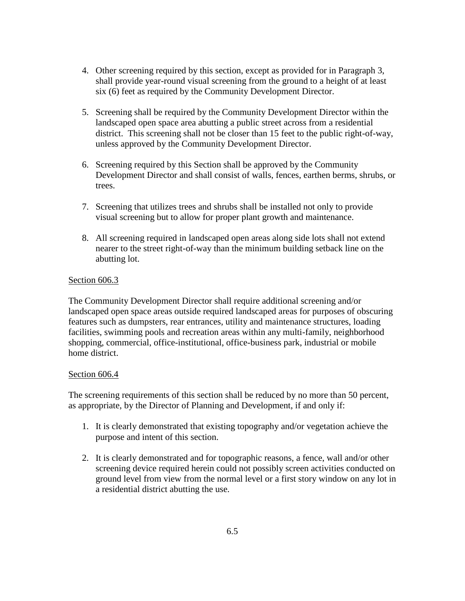- 4. Other screening required by this section, except as provided for in Paragraph 3, shall provide year-round visual screening from the ground to a height of at least six (6) feet as required by the Community Development Director.
- 5. Screening shall be required by the Community Development Director within the landscaped open space area abutting a public street across from a residential district. This screening shall not be closer than 15 feet to the public right-of-way, unless approved by the Community Development Director.
- 6. Screening required by this Section shall be approved by the Community Development Director and shall consist of walls, fences, earthen berms, shrubs, or trees.
- 7. Screening that utilizes trees and shrubs shall be installed not only to provide visual screening but to allow for proper plant growth and maintenance.
- 8. All screening required in landscaped open areas along side lots shall not extend nearer to the street right-of-way than the minimum building setback line on the abutting lot.

## Section 606.3

The Community Development Director shall require additional screening and/or landscaped open space areas outside required landscaped areas for purposes of obscuring features such as dumpsters, rear entrances, utility and maintenance structures, loading facilities, swimming pools and recreation areas within any multi-family, neighborhood shopping, commercial, office-institutional, office-business park, industrial or mobile home district.

### Section 606.4

The screening requirements of this section shall be reduced by no more than 50 percent, as appropriate, by the Director of Planning and Development, if and only if:

- 1. It is clearly demonstrated that existing topography and/or vegetation achieve the purpose and intent of this section.
- 2. It is clearly demonstrated and for topographic reasons, a fence, wall and/or other screening device required herein could not possibly screen activities conducted on ground level from view from the normal level or a first story window on any lot in a residential district abutting the use.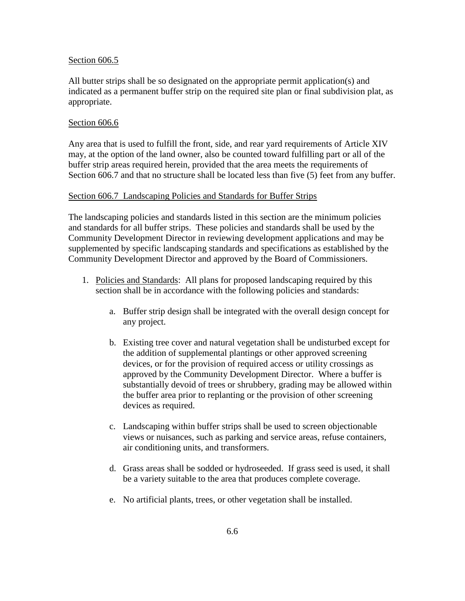#### Section 606.5

All butter strips shall be so designated on the appropriate permit application(s) and indicated as a permanent buffer strip on the required site plan or final subdivision plat, as appropriate.

#### Section 606.6

Any area that is used to fulfill the front, side, and rear yard requirements of Article XIV may, at the option of the land owner, also be counted toward fulfilling part or all of the buffer strip areas required herein, provided that the area meets the requirements of Section 606.7 and that no structure shall be located less than five (5) feet from any buffer.

#### Section 606.7 Landscaping Policies and Standards for Buffer Strips

The landscaping policies and standards listed in this section are the minimum policies and standards for all buffer strips. These policies and standards shall be used by the Community Development Director in reviewing development applications and may be supplemented by specific landscaping standards and specifications as established by the Community Development Director and approved by the Board of Commissioners.

- 1. Policies and Standards: All plans for proposed landscaping required by this section shall be in accordance with the following policies and standards:
	- a. Buffer strip design shall be integrated with the overall design concept for any project.
	- b. Existing tree cover and natural vegetation shall be undisturbed except for the addition of supplemental plantings or other approved screening devices, or for the provision of required access or utility crossings as approved by the Community Development Director. Where a buffer is substantially devoid of trees or shrubbery, grading may be allowed within the buffer area prior to replanting or the provision of other screening devices as required.
	- c. Landscaping within buffer strips shall be used to screen objectionable views or nuisances, such as parking and service areas, refuse containers, air conditioning units, and transformers.
	- d. Grass areas shall be sodded or hydroseeded. If grass seed is used, it shall be a variety suitable to the area that produces complete coverage.
	- e. No artificial plants, trees, or other vegetation shall be installed.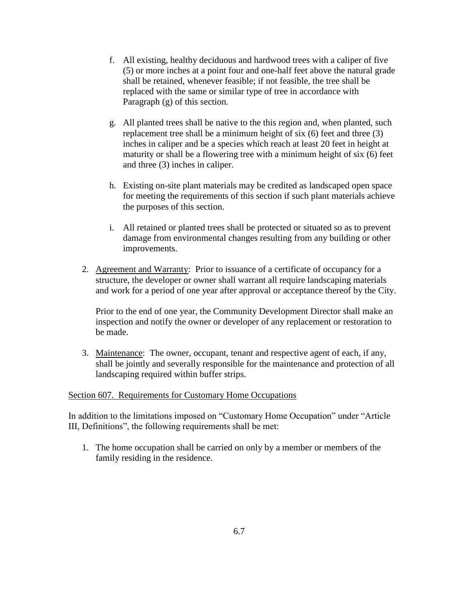- f. All existing, healthy deciduous and hardwood trees with a caliper of five (5) or more inches at a point four and one-half feet above the natural grade shall be retained, whenever feasible; if not feasible, the tree shall be replaced with the same or similar type of tree in accordance with Paragraph (g) of this section.
- g. All planted trees shall be native to the this region and, when planted, such replacement tree shall be a minimum height of six (6) feet and three (3) inches in caliper and be a species which reach at least 20 feet in height at maturity or shall be a flowering tree with a minimum height of six (6) feet and three (3) inches in caliper.
- h. Existing on-site plant materials may be credited as landscaped open space for meeting the requirements of this section if such plant materials achieve the purposes of this section.
- i. All retained or planted trees shall be protected or situated so as to prevent damage from environmental changes resulting from any building or other improvements.
- 2. Agreement and Warranty: Prior to issuance of a certificate of occupancy for a structure, the developer or owner shall warrant all require landscaping materials and work for a period of one year after approval or acceptance thereof by the City.

Prior to the end of one year, the Community Development Director shall make an inspection and notify the owner or developer of any replacement or restoration to be made.

3. Maintenance: The owner, occupant, tenant and respective agent of each, if any, shall be jointly and severally responsible for the maintenance and protection of all landscaping required within buffer strips.

# Section 607. Requirements for Customary Home Occupations

In addition to the limitations imposed on "Customary Home Occupation" under "Article III, Definitions", the following requirements shall be met:

1. The home occupation shall be carried on only by a member or members of the family residing in the residence.